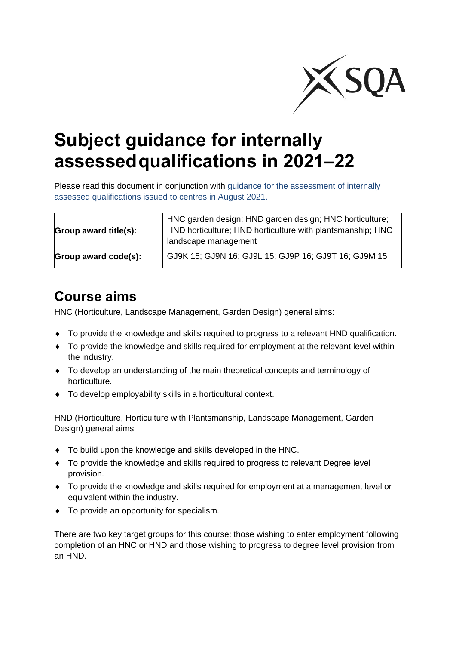

# **Subject guidance for internally assessedqualifications in 2021–22**

Please read this document in conjunction with [guidance for the assessment of internally](https://www.sqa.org.uk/sqa/95044.html) assessed qualifications issued to [centres in August](https://www.sqa.org.uk/sqa/95044.html) 2021.

| Group award title(s): | HNC garden design; HND garden design; HNC horticulture;<br>HND horticulture; HND horticulture with plantsmanship; HNC<br>landscape management |
|-----------------------|-----------------------------------------------------------------------------------------------------------------------------------------------|
| Group award code(s):  | GJ9K 15; GJ9N 16; GJ9L 15; GJ9P 16; GJ9T 16; GJ9M 15                                                                                          |

### **Course aims**

HNC (Horticulture, Landscape Management, Garden Design) general aims:

- To provide the knowledge and skills required to progress to a relevant HND qualification.
- To provide the knowledge and skills required for employment at the relevant level within the industry.
- To develop an understanding of the main theoretical concepts and terminology of horticulture.
- To develop employability skills in a horticultural context.

HND (Horticulture, Horticulture with Plantsmanship, Landscape Management, Garden Design) general aims:

- To build upon the knowledge and skills developed in the HNC.
- To provide the knowledge and skills required to progress to relevant Degree level provision.
- To provide the knowledge and skills required for employment at a management level or equivalent within the industry.
- To provide an opportunity for specialism.

There are two key target groups for this course: those wishing to enter employment following completion of an HNC or HND and those wishing to progress to degree level provision from an HND.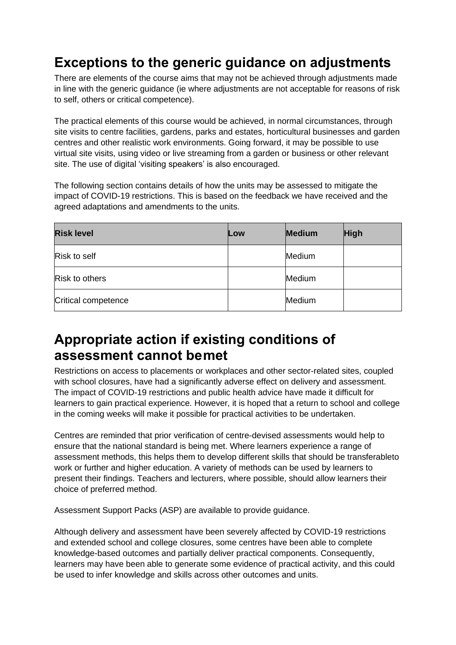# **Exceptions to the generic guidance on adjustments**

There are elements of the course aims that may not be achieved through adjustments made in line with the generic guidance (ie where adjustments are not acceptable for reasons of risk to self, others or critical competence).

The practical elements of this course would be achieved, in normal circumstances, through site visits to centre facilities, gardens, parks and estates, horticultural businesses and garden centres and other realistic work environments. Going forward, it may be possible to use virtual site visits, using video or live streaming from a garden or business or other relevant site. The use of digital 'visiting speakers' is also encouraged.

The following section contains details of how the units may be assessed to mitigate the impact of COVID-19 restrictions. This is based on the feedback we have received and the agreed adaptations and amendments to the units.

| <b>Risk level</b>     | Low | <b>Medium</b> | <b>High</b> |
|-----------------------|-----|---------------|-------------|
| Risk to self          |     | Medium        |             |
| <b>Risk to others</b> |     | Medium        |             |
| Critical competence   |     | Medium        |             |

### **Appropriate action if existing conditions of assessment cannot bemet**

Restrictions on access to placements or workplaces and other sector-related sites, coupled with school closures, have had a significantly adverse effect on delivery and assessment. The impact of COVID-19 restrictions and public health advice have made it difficult for learners to gain practical experience. However, it is hoped that a return to school and college in the coming weeks will make it possible for practical activities to be undertaken.

Centres are reminded that prior verification of centre-devised assessments would help to ensure that the national standard is being met. Where learners experience a range of assessment methods, this helps them to develop different skills that should be transferableto work or further and higher education. A variety of methods can be used by learners to present their findings. Teachers and lecturers, where possible, should allow learners their choice of preferred method.

Assessment Support Packs (ASP) are available to provide guidance.

Although delivery and assessment have been severely affected by COVID-19 restrictions and extended school and college closures, some centres have been able to complete knowledge-based outcomes and partially deliver practical components. Consequently, learners may have been able to generate some evidence of practical activity, and this could be used to infer knowledge and skills across other outcomes and units.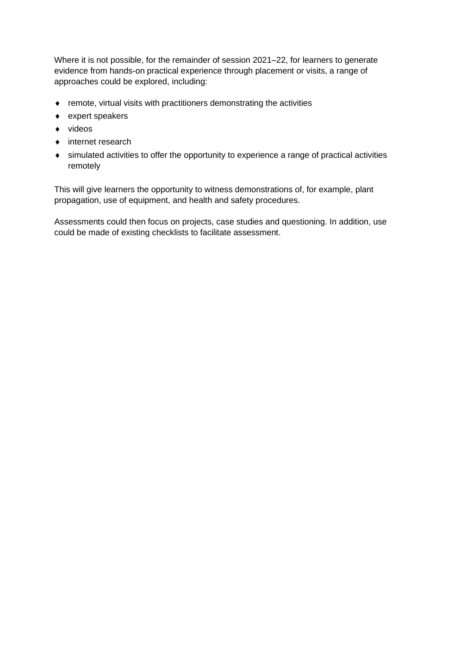Where it is not possible, for the remainder of session 2021–22, for learners to generate evidence from hands-on practical experience through placement or visits, a range of approaches could be explored, including:

- $\bullet$  remote, virtual visits with practitioners demonstrating the activities
- expert speakers
- $\bullet$  videos
- internet research
- simulated activities to offer the opportunity to experience a range of practical activities remotely

This will give learners the opportunity to witness demonstrations of, for example, plant propagation, use of equipment, and health and safety procedures.

Assessments could then focus on projects, case studies and questioning. In addition, use could be made of existing checklists to facilitate assessment.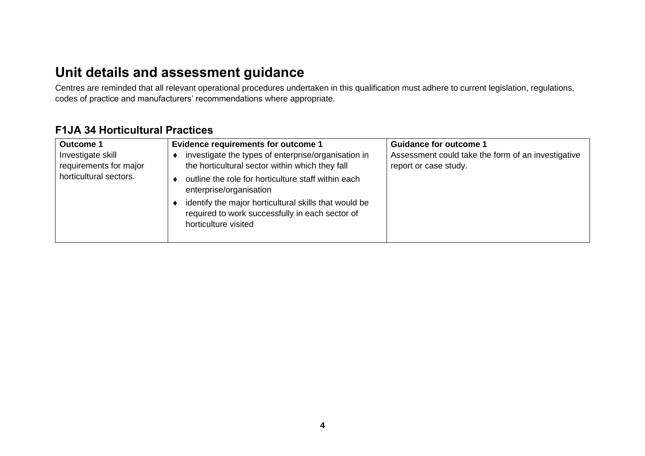## **Unit details and assessment guidance**

Centres are reminded that all relevant operational procedures undertaken in this qualification must adhere to current legislation, regulations, codes of practice and manufacturers' recommendations where appropriate.

#### **F1JA 34 Horticultural Practices**

| Outcome 1                                   | <b>Evidence requirements for outcome 1</b>                                                                                       | <b>Guidance for outcome 1</b>                                               |
|---------------------------------------------|----------------------------------------------------------------------------------------------------------------------------------|-----------------------------------------------------------------------------|
| Investigate skill<br>requirements for major | investigate the types of enterprise/organisation in<br>the horticultural sector within which they fall                           | Assessment could take the form of an investigative<br>report or case study. |
| horticultural sectors.                      | outline the role for horticulture staff within each<br>enterprise/organisation                                                   |                                                                             |
|                                             | identify the major horticultural skills that would be<br>required to work successfully in each sector of<br>horticulture visited |                                                                             |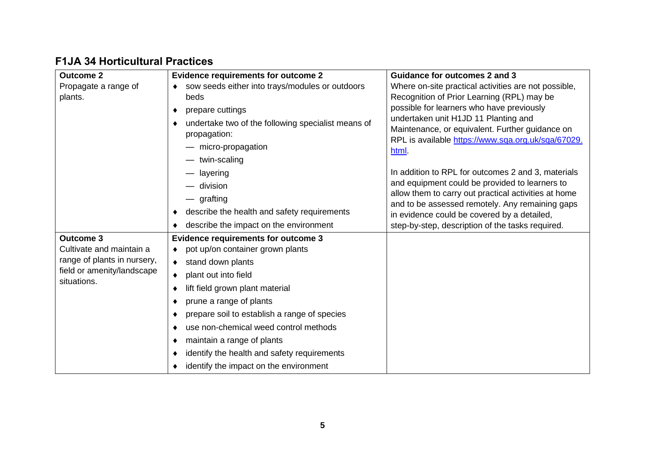#### **F1JA 34 Horticultural Practices**

| <b>Outcome 2</b>                          | <b>Evidence requirements for outcome 2</b>                         | <b>Guidance for outcomes 2 and 3</b>                                                                                                          |
|-------------------------------------------|--------------------------------------------------------------------|-----------------------------------------------------------------------------------------------------------------------------------------------|
| Propagate a range of                      | sow seeds either into trays/modules or outdoors                    | Where on-site practical activities are not possible,                                                                                          |
| plants.                                   | beds                                                               | Recognition of Prior Learning (RPL) may be                                                                                                    |
|                                           | prepare cuttings                                                   | possible for learners who have previously                                                                                                     |
|                                           | undertake two of the following specialist means of<br>propagation: | undertaken unit H1JD 11 Planting and<br>Maintenance, or equivalent. Further guidance on<br>RPL is available https://www.sqa.org.uk/sqa/67029. |
|                                           | micro-propagation                                                  | html                                                                                                                                          |
|                                           | twin-scaling                                                       |                                                                                                                                               |
|                                           | layering                                                           | In addition to RPL for outcomes 2 and 3, materials                                                                                            |
|                                           | division                                                           | and equipment could be provided to learners to                                                                                                |
|                                           | — grafting                                                         | allow them to carry out practical activities at home<br>and to be assessed remotely. Any remaining gaps                                       |
|                                           | describe the health and safety requirements                        | in evidence could be covered by a detailed,                                                                                                   |
|                                           | describe the impact on the environment                             | step-by-step, description of the tasks required.                                                                                              |
| <b>Outcome 3</b>                          | <b>Evidence requirements for outcome 3</b>                         |                                                                                                                                               |
| Cultivate and maintain a                  | pot up/on container grown plants                                   |                                                                                                                                               |
| range of plants in nursery,               | stand down plants<br>$\bullet$                                     |                                                                                                                                               |
| field or amenity/landscape<br>situations. | plant out into field<br>$\bullet$                                  |                                                                                                                                               |
|                                           | lift field grown plant material                                    |                                                                                                                                               |
|                                           | prune a range of plants                                            |                                                                                                                                               |
|                                           | prepare soil to establish a range of species                       |                                                                                                                                               |
|                                           | use non-chemical weed control methods                              |                                                                                                                                               |
|                                           | maintain a range of plants                                         |                                                                                                                                               |
|                                           | identify the health and safety requirements                        |                                                                                                                                               |
|                                           | identify the impact on the environment                             |                                                                                                                                               |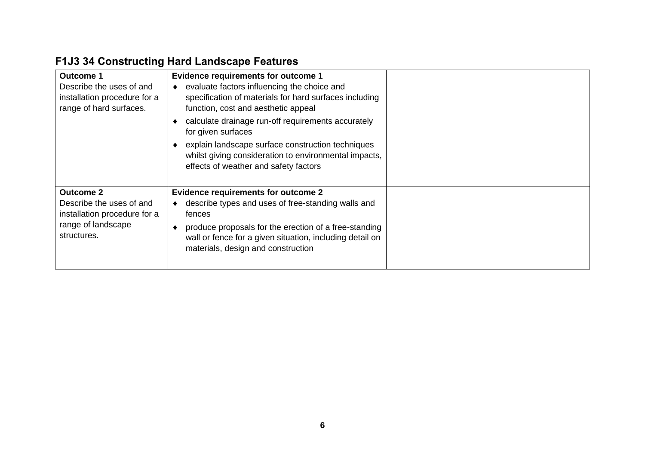|                      | <b>F1J3 34 Constructing Hard Landscape Features</b> |
|----------------------|-----------------------------------------------------|
| $\sim$ $\sim$ $\sim$ | l Futulo con construire contrato de la contra       |

| <b>Outcome 1</b><br>Describe the uses of and<br>installation procedure for a<br>range of hard surfaces.           | <b>Evidence requirements for outcome 1</b><br>evaluate factors influencing the choice and<br>specification of materials for hard surfaces including<br>function, cost and aesthetic appeal                                                                            |  |
|-------------------------------------------------------------------------------------------------------------------|-----------------------------------------------------------------------------------------------------------------------------------------------------------------------------------------------------------------------------------------------------------------------|--|
|                                                                                                                   | calculate drainage run-off requirements accurately<br>for given surfaces<br>explain landscape surface construction techniques<br>whilst giving consideration to environmental impacts,<br>effects of weather and safety factors                                       |  |
| <b>Outcome 2</b><br>Describe the uses of and<br>installation procedure for a<br>range of landscape<br>structures. | <b>Evidence requirements for outcome 2</b><br>describe types and uses of free-standing walls and<br>fences<br>produce proposals for the erection of a free-standing<br>wall or fence for a given situation, including detail on<br>materials, design and construction |  |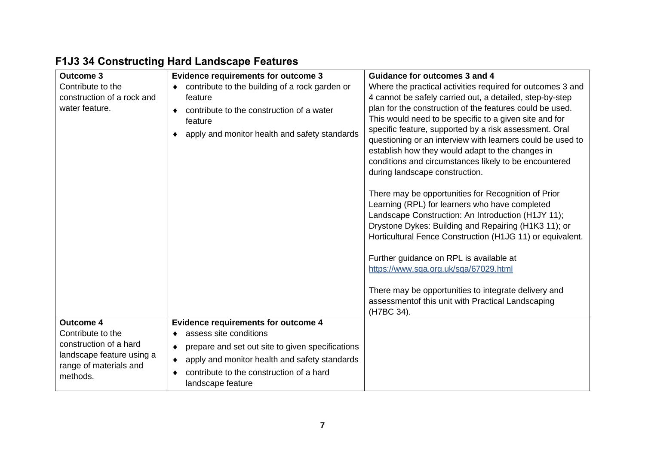| <b>Outcome 3</b>                                    | <b>Evidence requirements for outcome 3</b>                    | <b>Guidance for outcomes 3 and 4</b>                                                                             |
|-----------------------------------------------------|---------------------------------------------------------------|------------------------------------------------------------------------------------------------------------------|
| Contribute to the                                   | contribute to the building of a rock garden or                | Where the practical activities required for outcomes 3 and                                                       |
| construction of a rock and                          | feature                                                       | 4 cannot be safely carried out, a detailed, step-by-step                                                         |
| water feature.                                      | contribute to the construction of a water<br>$\bullet$        | plan for the construction of the features could be used.                                                         |
|                                                     | feature                                                       | This would need to be specific to a given site and for<br>specific feature, supported by a risk assessment. Oral |
|                                                     | apply and monitor health and safety standards                 | questioning or an interview with learners could be used to                                                       |
|                                                     |                                                               | establish how they would adapt to the changes in                                                                 |
|                                                     |                                                               | conditions and circumstances likely to be encountered                                                            |
|                                                     |                                                               | during landscape construction.                                                                                   |
|                                                     |                                                               |                                                                                                                  |
|                                                     |                                                               | There may be opportunities for Recognition of Prior<br>Learning (RPL) for learners who have completed            |
|                                                     |                                                               | Landscape Construction: An Introduction (H1JY 11);                                                               |
|                                                     |                                                               | Drystone Dykes: Building and Repairing (H1K3 11); or                                                             |
|                                                     |                                                               | Horticultural Fence Construction (H1JG 11) or equivalent.                                                        |
|                                                     |                                                               |                                                                                                                  |
|                                                     |                                                               | Further guidance on RPL is available at                                                                          |
|                                                     |                                                               | https://www.sqa.org.uk/sqa/67029.html                                                                            |
|                                                     |                                                               | There may be opportunities to integrate delivery and                                                             |
|                                                     |                                                               | assessmentof this unit with Practical Landscaping                                                                |
|                                                     |                                                               | (H7BC 34).                                                                                                       |
| <b>Outcome 4</b>                                    | <b>Evidence requirements for outcome 4</b>                    |                                                                                                                  |
| Contribute to the                                   | assess site conditions                                        |                                                                                                                  |
| construction of a hard<br>landscape feature using a | prepare and set out site to given specifications<br>٠         |                                                                                                                  |
| range of materials and                              | apply and monitor health and safety standards<br>$\bullet$    |                                                                                                                  |
| methods.                                            | contribute to the construction of a hard<br>landscape feature |                                                                                                                  |

# **F1J3 34 Constructing Hard Landscape Features**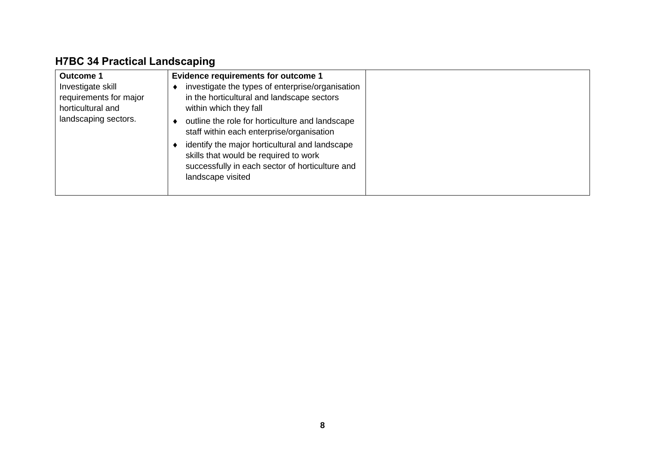### **H7BC 34 Practical Landscaping**

| <b>Evidence requirements for outcome 1</b><br><b>Outcome 1</b><br>investigate the types of enterprise/organisation<br>Investigate skill<br>in the horticultural and landscape sectors<br>requirements for major<br>horticultural and<br>within which they fall<br>landscaping sectors.<br>outline the role for horticulture and landscape<br>staff within each enterprise/organisation<br>identify the major horticultural and landscape<br>skills that would be required to work<br>successfully in each sector of horticulture and<br>landscape visited |
|-----------------------------------------------------------------------------------------------------------------------------------------------------------------------------------------------------------------------------------------------------------------------------------------------------------------------------------------------------------------------------------------------------------------------------------------------------------------------------------------------------------------------------------------------------------|
|-----------------------------------------------------------------------------------------------------------------------------------------------------------------------------------------------------------------------------------------------------------------------------------------------------------------------------------------------------------------------------------------------------------------------------------------------------------------------------------------------------------------------------------------------------------|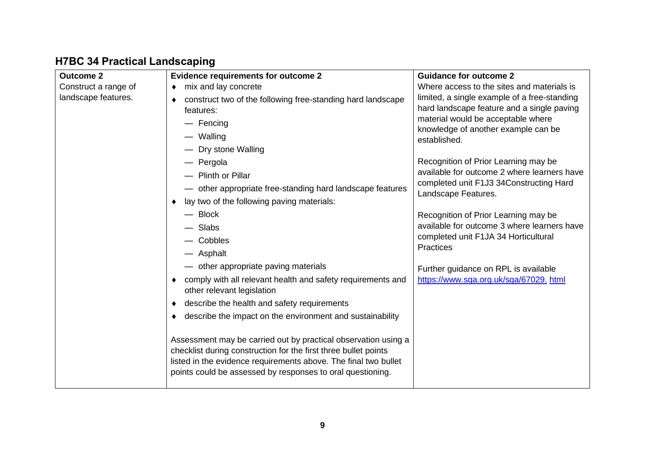### **H7BC 34 Practical Landscaping**

| <b>Outcome 2</b>     | <b>Evidence requirements for outcome 2</b>                      | <b>Guidance for outcome 2</b>                                             |
|----------------------|-----------------------------------------------------------------|---------------------------------------------------------------------------|
| Construct a range of | mix and lay concrete<br>٠                                       | Where access to the sites and materials is                                |
| landscape features.  | construct two of the following free-standing hard landscape     | limited, a single example of a free-standing                              |
|                      | features:                                                       | hard landscape feature and a single paving                                |
|                      | - Fencing                                                       | material would be acceptable where<br>knowledge of another example can be |
|                      | - Walling                                                       | established.                                                              |
|                      | - Dry stone Walling                                             |                                                                           |
|                      | - Pergola                                                       | Recognition of Prior Learning may be                                      |
|                      | - Plinth or Pillar                                              | available for outcome 2 where learners have                               |
|                      | - other appropriate free-standing hard landscape features       | completed unit F1J3 34Constructing Hard                                   |
|                      | lay two of the following paving materials:                      | Landscape Features.                                                       |
|                      | $-$ Block                                                       | Recognition of Prior Learning may be                                      |
|                      | - Slabs                                                         | available for outcome 3 where learners have                               |
|                      | Cobbles                                                         | completed unit F1JA 34 Horticultural                                      |
|                      | - Asphalt                                                       | <b>Practices</b>                                                          |
|                      | - other appropriate paving materials                            | Further guidance on RPL is available                                      |
|                      | comply with all relevant health and safety requirements and     | https://www.sqa.org.uk/sqa/67029.html                                     |
|                      | other relevant legislation                                      |                                                                           |
|                      | describe the health and safety requirements                     |                                                                           |
|                      | describe the impact on the environment and sustainability       |                                                                           |
|                      |                                                                 |                                                                           |
|                      | Assessment may be carried out by practical observation using a  |                                                                           |
|                      | checklist during construction for the first three bullet points |                                                                           |
|                      | listed in the evidence requirements above. The final two bullet |                                                                           |
|                      | points could be assessed by responses to oral questioning.      |                                                                           |